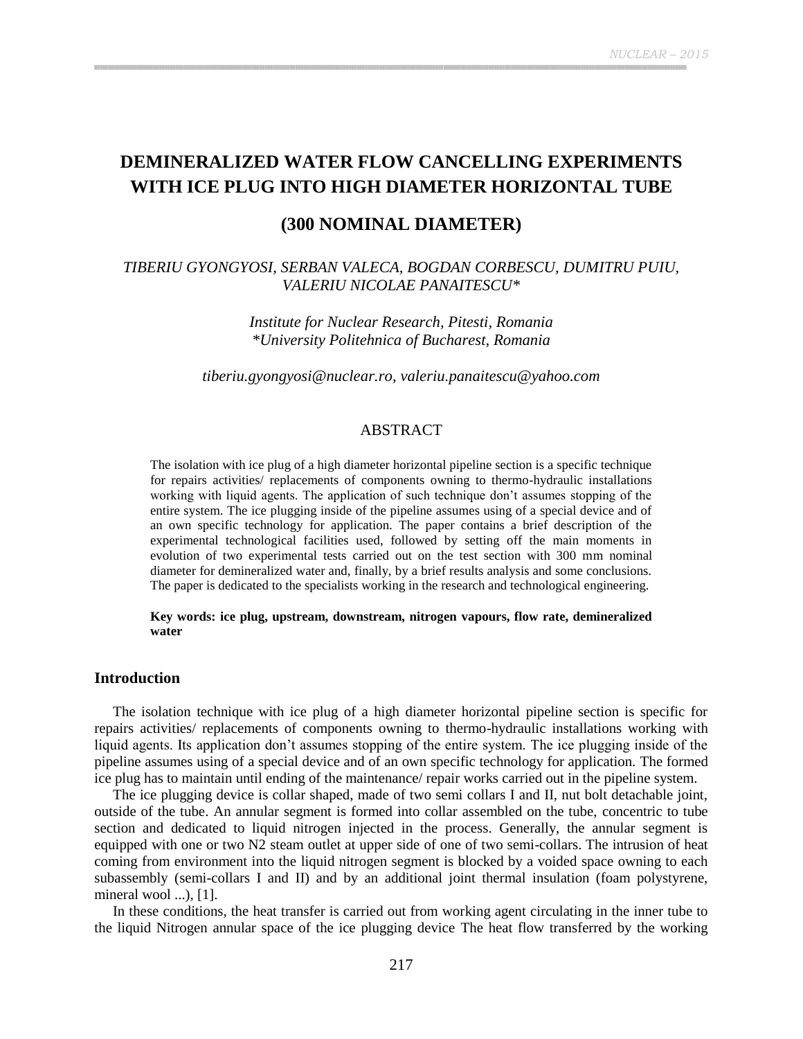# **DEMINERALIZED WATER FLOW CANCELLING EXPERIMENTS WITH ICE PLUG INTO HIGH DIAMETER HORIZONTAL TUBE**

# **(300 NOMINAL DIAMETER)**

# *TIBERIU GYONGYOSI, SERBAN VALECA, BOGDAN CORBESCU, DUMITRU PUIU, VALERIU NICOLAE PANAITESCU\**

*Institute for Nuclear Research, Pitesti, Romania \*University Politehnica of Bucharest, Romania*

*[tiberiu.gyongyosi@nuclear.ro,](mailto:tiberiu.gyongyosi@nuclear.ro) valeriu.panaitescu@yahoo.com*

## ABSTRACT

The isolation with ice plug of a high diameter horizontal pipeline section is a specific technique for repairs activities/ replacements of components owning to thermo-hydraulic installations working with liquid agents. The application of such technique don"t assumes stopping of the entire system. The ice plugging inside of the pipeline assumes using of a special device and of an own specific technology for application. The paper contains a brief description of the experimental technological facilities used, followed by setting off the main moments in evolution of two experimental tests carried out on the test section with 300 mm nominal diameter for demineralized water and, finally, by a brief results analysis and some conclusions. The paper is dedicated to the specialists working in the research and technological engineering.

#### **Key words: ice plug, upstream, downstream, nitrogen vapours, flow rate, demineralized water**

### **Introduction**

The isolation technique with ice plug of a high diameter horizontal pipeline section is specific for repairs activities/ replacements of components owning to thermo-hydraulic installations working with liquid agents. Its application don"t assumes stopping of the entire system. The ice plugging inside of the pipeline assumes using of a special device and of an own specific technology for application. The formed ice plug has to maintain until ending of the maintenance/ repair works carried out in the pipeline system.

The ice plugging device is collar shaped, made of two semi collars I and II, nut bolt detachable joint, outside of the tube. An annular segment is formed into collar assembled on the tube, concentric to tube section and dedicated to liquid nitrogen injected in the process. Generally, the annular segment is equipped with one or two N2 steam outlet at upper side of one of two semi-collars. The intrusion of heat coming from environment into the liquid nitrogen segment is blocked by a voided space owning to each subassembly (semi-collars I and II) and by an additional joint thermal insulation (foam polystyrene, mineral wool ...), [1].

In these conditions, the heat transfer is carried out from working agent circulating in the inner tube to the liquid Nitrogen annular space of the ice plugging device The heat flow transferred by the working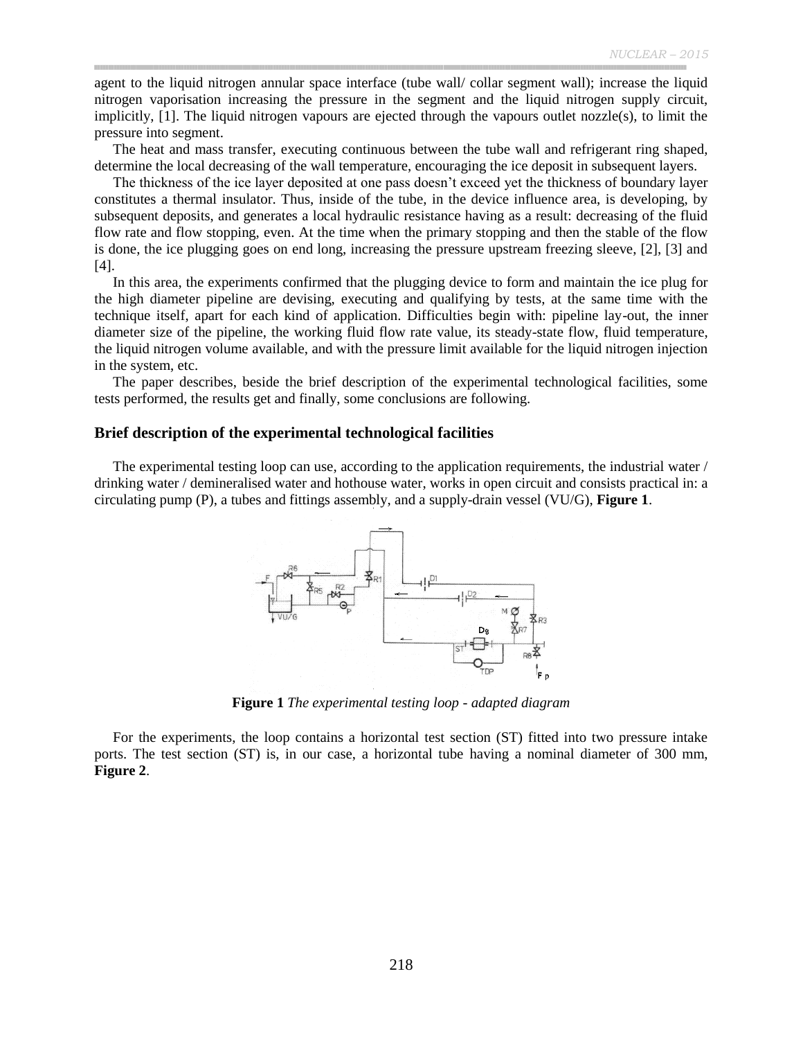agent to the liquid nitrogen annular space interface (tube wall/ collar segment wall); increase the liquid nitrogen vaporisation increasing the pressure in the segment and the liquid nitrogen supply circuit, implicitly, [1]. The liquid nitrogen vapours are ejected through the vapours outlet nozzle(s), to limit the pressure into segment.

The heat and mass transfer, executing continuous between the tube wall and refrigerant ring shaped, determine the local decreasing of the wall temperature, encouraging the ice deposit in subsequent layers.

The thickness of the ice layer deposited at one pass doesn"t exceed yet the thickness of boundary layer constitutes a thermal insulator. Thus, inside of the tube, in the device influence area, is developing, by subsequent deposits, and generates a local hydraulic resistance having as a result: decreasing of the fluid flow rate and flow stopping, even. At the time when the primary stopping and then the stable of the flow is done, the ice plugging goes on end long, increasing the pressure upstream freezing sleeve, [2], [3] and [4].

In this area, the experiments confirmed that the plugging device to form and maintain the ice plug for the high diameter pipeline are devising, executing and qualifying by tests, at the same time with the technique itself, apart for each kind of application. Difficulties begin with: pipeline lay-out, the inner diameter size of the pipeline, the working fluid flow rate value, its steady-state flow, fluid temperature, the liquid nitrogen volume available, and with the pressure limit available for the liquid nitrogen injection in the system, etc.

The paper describes, beside the brief description of the experimental technological facilities, some tests performed, the results get and finally, some conclusions are following.

#### **Brief description of the experimental technological facilities**

The experimental testing loop can use, according to the application requirements, the industrial water / drinking water / demineralised water and hothouse water, works in open circuit and consists practical in: a circulating pump (P), a tubes and fittings assembly, and a supply-drain vessel (VU/G), **Figure 1**.



**Figure 1** *The experimental testing loop - adapted diagram*

For the experiments, the loop contains a horizontal test section (ST) fitted into two pressure intake ports. The test section (ST) is, in our case, a horizontal tube having a nominal diameter of 300 mm, **Figure 2**.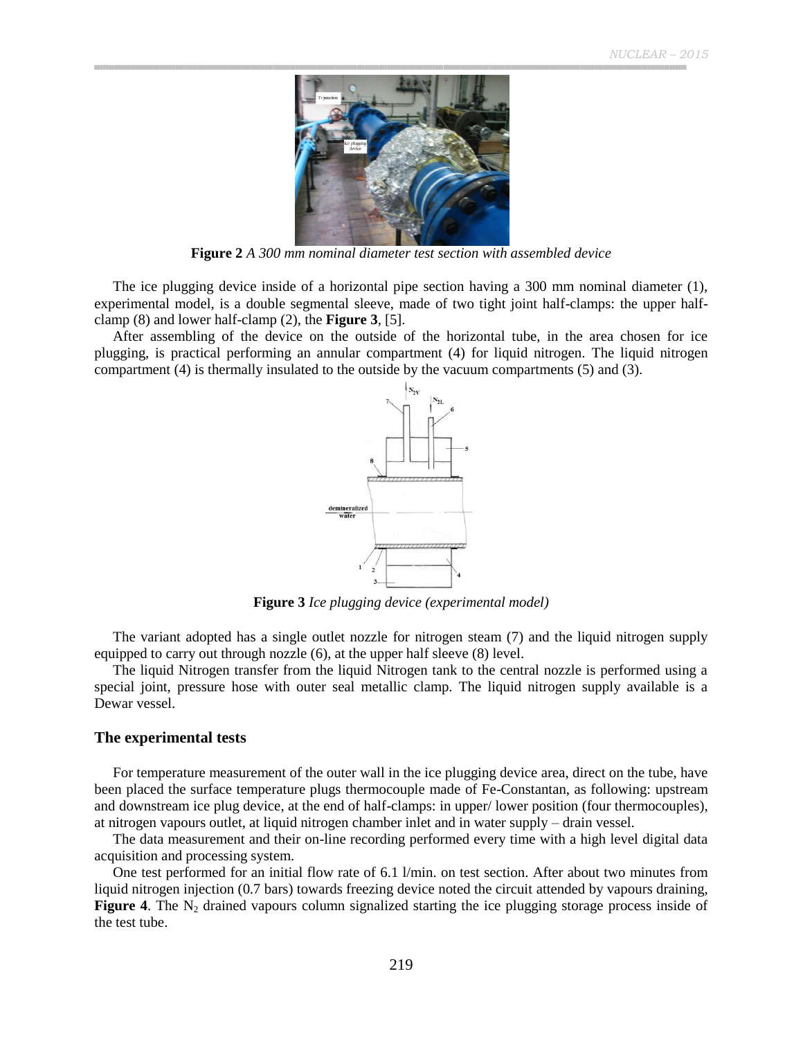

**Figure 2** *A 300 mm nominal diameter test section with assembled device*

The ice plugging device inside of a horizontal pipe section having a 300 mm nominal diameter (1), experimental model, is a double segmental sleeve, made of two tight joint half-clamps: the upper halfclamp (8) and lower half-clamp (2), the **Figure 3**, [5].

After assembling of the device on the outside of the horizontal tube, in the area chosen for ice plugging, is practical performing an annular compartment (4) for liquid nitrogen. The liquid nitrogen compartment (4) is thermally insulated to the outside by the vacuum compartments (5) and (3).



**Figure 3** *Ice plugging device (experimental model)*

The variant adopted has a single outlet nozzle for nitrogen steam (7) and the liquid nitrogen supply equipped to carry out through nozzle (6), at the upper half sleeve (8) level.

The liquid Nitrogen transfer from the liquid Nitrogen tank to the central nozzle is performed using a special joint, pressure hose with outer seal metallic clamp. The liquid nitrogen supply available is a Dewar vessel.

#### **The experimental tests**

For temperature measurement of the outer wall in the ice plugging device area, direct on the tube, have been placed the surface temperature plugs thermocouple made of Fe-Constantan, as following: upstream and downstream ice plug device, at the end of half-clamps: in upper/ lower position (four thermocouples), at nitrogen vapours outlet, at liquid nitrogen chamber inlet and in water supply – drain vessel.

The data measurement and their on-line recording performed every time with a high level digital data acquisition and processing system.

One test performed for an initial flow rate of 6.1 l/min. on test section. After about two minutes from liquid nitrogen injection (0.7 bars) towards freezing device noted the circuit attended by vapours draining, **Figure 4.** The  $N_2$  drained vapours column signalized starting the ice plugging storage process inside of the test tube.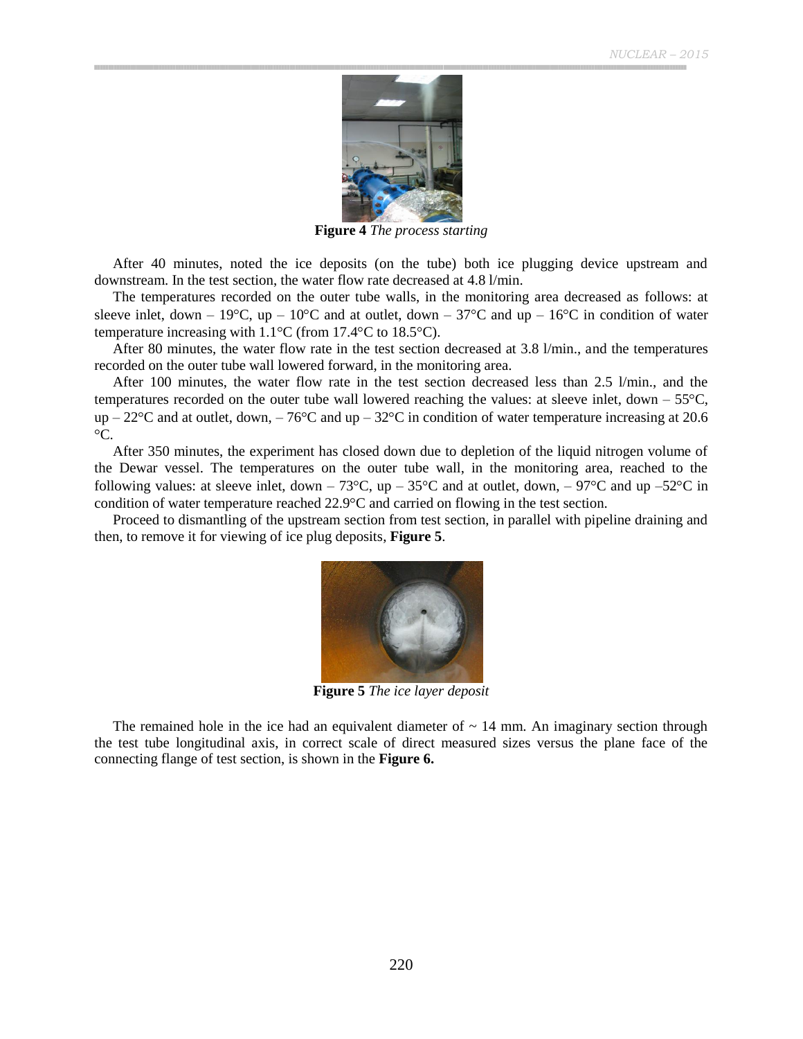

**Figure 4** *The process starting*

After 40 minutes, noted the ice deposits (on the tube) both ice plugging device upstream and downstream. In the test section, the water flow rate decreased at 4.8 l/min.

The temperatures recorded on the outer tube walls, in the monitoring area decreased as follows: at sleeve inlet, down – 19 $^{\circ}$ C, up – 10 $^{\circ}$ C and at outlet, down – 37 $^{\circ}$ C and up – 16 $^{\circ}$ C in condition of water temperature increasing with  $1.1^{\circ}$ C (from 17.4 $^{\circ}$ C to 18.5 $^{\circ}$ C).

After 80 minutes, the water flow rate in the test section decreased at 3.8 l/min., and the temperatures recorded on the outer tube wall lowered forward, in the monitoring area.

After 100 minutes, the water flow rate in the test section decreased less than 2.5 l/min., and the temperatures recorded on the outer tube wall lowered reaching the values: at sleeve inlet, down  $-55^{\circ}$ C, up – 22 $\rm{°C}$  and at outlet, down, – 76 $\rm{°C}$  and up – 32 $\rm{°C}$  in condition of water temperature increasing at 20.6  $\rm{^{\circ}C}$ .

After 350 minutes, the experiment has closed down due to depletion of the liquid nitrogen volume of the Dewar vessel. The temperatures on the outer tube wall, in the monitoring area, reached to the following values: at sleeve inlet, down – 73 $^{\circ}$ C, up – 35 $^{\circ}$ C and at outlet, down, – 97 $^{\circ}$ C and up –52 $^{\circ}$ C in condition of water temperature reached 22.9<sup>o</sup>C and carried on flowing in the test section.

Proceed to dismantling of the upstream section from test section, in parallel with pipeline draining and then, to remove it for viewing of ice plug deposits, **Figure 5**.



**Figure 5** *The ice layer deposit*

The remained hole in the ice had an equivalent diameter of  $\sim$  14 mm. An imaginary section through the test tube longitudinal axis, in correct scale of direct measured sizes versus the plane face of the connecting flange of test section, is shown in the **Figure 6.**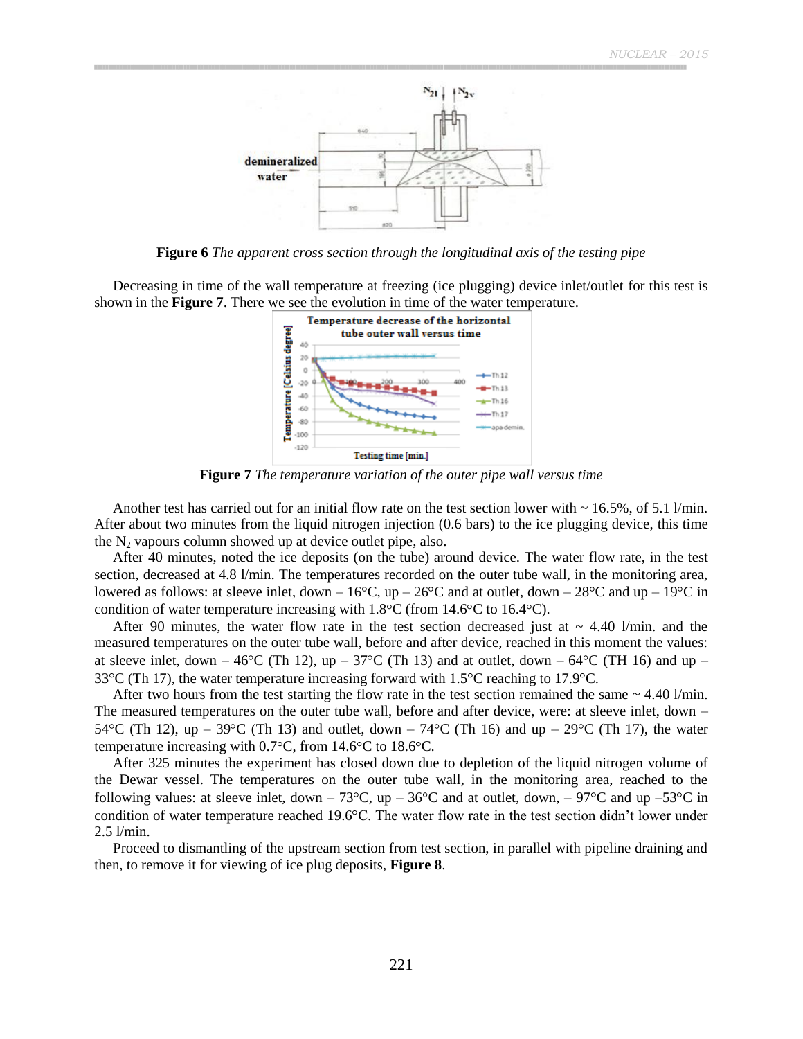

**Figure 6** *The apparent cross section through the longitudinal axis of the testing pipe*

Decreasing in time of the wall temperature at freezing (ice plugging) device inlet/outlet for this test is shown in the **Figure 7**. There we see the evolution in time of the water temperature.



**Figure 7** *The temperature variation of the outer pipe wall versus time*

Another test has carried out for an initial flow rate on the test section lower with  $\sim 16.5\%$ , of 5.1 l/min. After about two minutes from the liquid nitrogen injection (0.6 bars) to the ice plugging device, this time the  $N_2$  vapours column showed up at device outlet pipe, also.

After 40 minutes, noted the ice deposits (on the tube) around device. The water flow rate, in the test section, decreased at 4.8 l/min. The temperatures recorded on the outer tube wall, in the monitoring area, lowered as follows: at sleeve inlet, down –  $16^{\circ}$ C, up –  $26^{\circ}$ C and at outlet, down –  $28^{\circ}$ C and up –  $19^{\circ}$ C in condition of water temperature increasing with  $1.8^{\circ}$ C (from  $14.6^{\circ}$ C to  $16.4^{\circ}$ C).

After 90 minutes, the water flow rate in the test section decreased just at  $\sim 4.40$  l/min. and the measured temperatures on the outer tube wall, before and after device, reached in this moment the values: at sleeve inlet, down – 46°C (Th 12), up – 37°C (Th 13) and at outlet, down – 64°C (TH 16) and up – 33 $\degree$ C (Th 17), the water temperature increasing forward with 1.5 $\degree$ C reaching to 17.9 $\degree$ C.

After two hours from the test starting the flow rate in the test section remained the same  $\sim 4.40$  l/min. The measured temperatures on the outer tube wall, before and after device, were: at sleeve inlet, down – 54 °C (Th 12), up – 39 °C (Th 13) and outlet, down – 74 °C (Th 16) and up – 29 °C (Th 17), the water temperature increasing with  $0.7^{\circ}$ C, from  $14.6^{\circ}$ C to  $18.6^{\circ}$ C.

After 325 minutes the experiment has closed down due to depletion of the liquid nitrogen volume of the Dewar vessel. The temperatures on the outer tube wall, in the monitoring area, reached to the following values: at sleeve inlet, down – 73 $^{\circ}$ C, up – 36 $^{\circ}$ C and at outlet, down, – 97 $^{\circ}$ C and up –53 $^{\circ}$ C in condition of water temperature reached 19.6°C. The water flow rate in the test section didn't lower under 2.5 l/min.

Proceed to dismantling of the upstream section from test section, in parallel with pipeline draining and then, to remove it for viewing of ice plug deposits, **Figure 8**.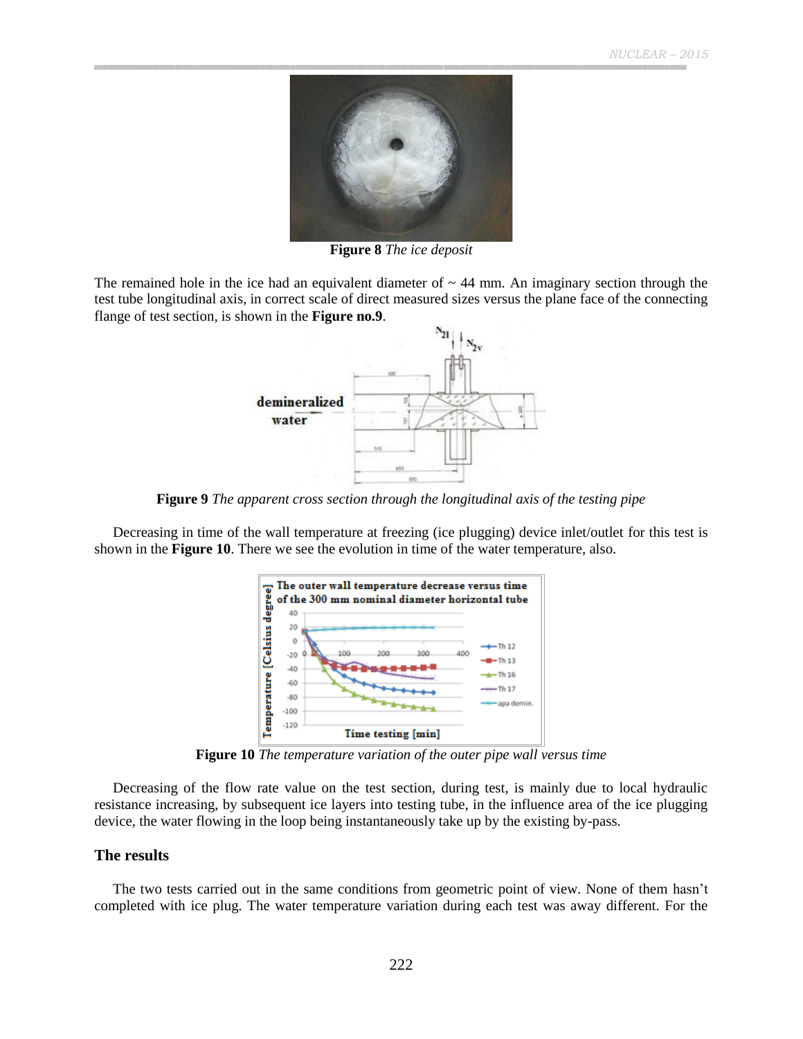

**Figure 8** *The ice deposit*

The remained hole in the ice had an equivalent diameter of  $\sim$  44 mm. An imaginary section through the test tube longitudinal axis, in correct scale of direct measured sizes versus the plane face of the connecting flange of test section, is shown in the **Figure no.9**.



**Figure 9** *The apparent cross section through the longitudinal axis of the testing pipe*

Decreasing in time of the wall temperature at freezing (ice plugging) device inlet/outlet for this test is shown in the **Figure 10**. There we see the evolution in time of the water temperature, also.



**Figure 10** *The temperature variation of the outer pipe wall versus time*

Decreasing of the flow rate value on the test section, during test, is mainly due to local hydraulic resistance increasing, by subsequent ice layers into testing tube, in the influence area of the ice plugging device, the water flowing in the loop being instantaneously take up by the existing by-pass.

#### **The results**

The two tests carried out in the same conditions from geometric point of view. None of them hasn"t completed with ice plug. The water temperature variation during each test was away different. For the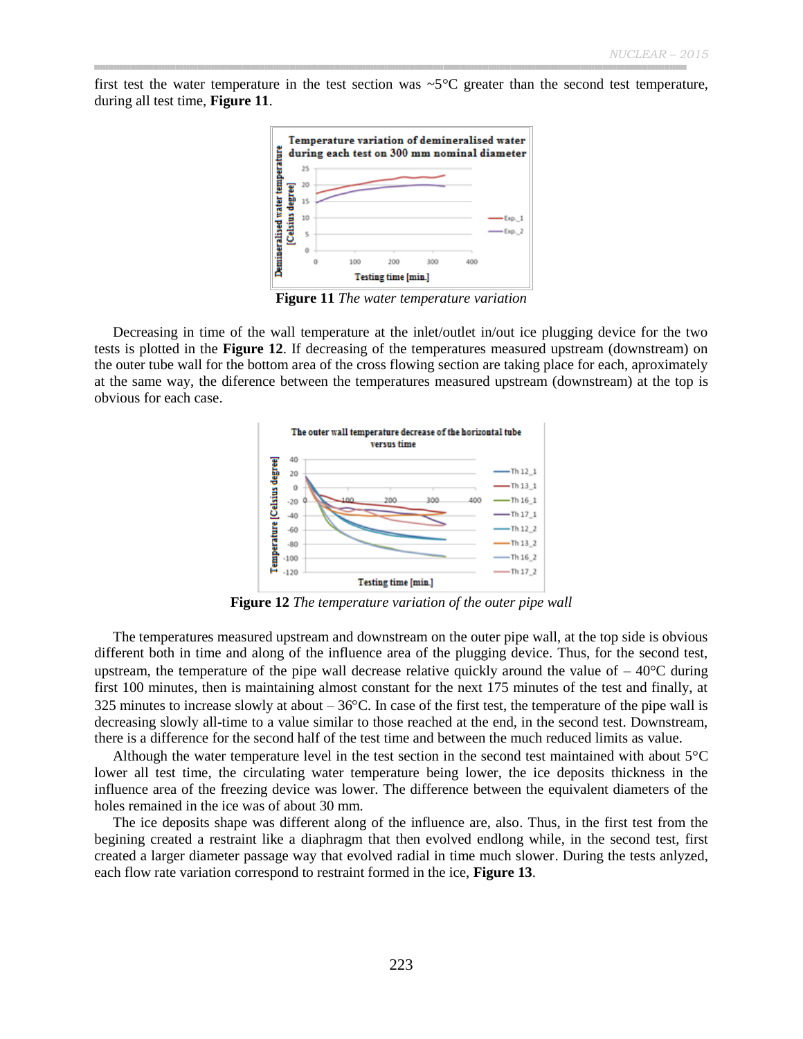first test the water temperature in the test section was  $\sim$ 5 $\degree$ C greater than the second test temperature, during all test time, **Figure 11**.



**Figure 11** *The water temperature variation*

Decreasing in time of the wall temperature at the inlet/outlet in/out ice plugging device for the two tests is plotted in the **Figure 12**. If decreasing of the temperatures measured upstream (downstream) on the outer tube wall for the bottom area of the cross flowing section are taking place for each, aproximately at the same way, the diference between the temperatures measured upstream (downstream) at the top is obvious for each case.



**Figure 12** *The temperature variation of the outer pipe wall*

The temperatures measured upstream and downstream on the outer pipe wall, at the top side is obvious different both in time and along of the influence area of the plugging device. Thus, for the second test, upstream, the temperature of the pipe wall decrease relative quickly around the value of  $-40^{\circ}$ C during first 100 minutes, then is maintaining almost constant for the next 175 minutes of the test and finally, at 325 minutes to increase slowly at about  $-36^{\circ}$ C. In case of the first test, the temperature of the pipe wall is decreasing slowly all-time to a value similar to those reached at the end, in the second test. Downstream, there is a difference for the second half of the test time and between the much reduced limits as value.

Although the water temperature level in the test section in the second test maintained with about  $5^{\circ}$ C lower all test time, the circulating water temperature being lower, the ice deposits thickness in the influence area of the freezing device was lower. The difference between the equivalent diameters of the holes remained in the ice was of about 30 mm.

The ice deposits shape was different along of the influence are, also. Thus, in the first test from the begining created a restraint like a diaphragm that then evolved endlong while, in the second test, first created a larger diameter passage way that evolved radial in time much slower. During the tests anlyzed, each flow rate variation correspond to restraint formed in the ice, **Figure 13**.